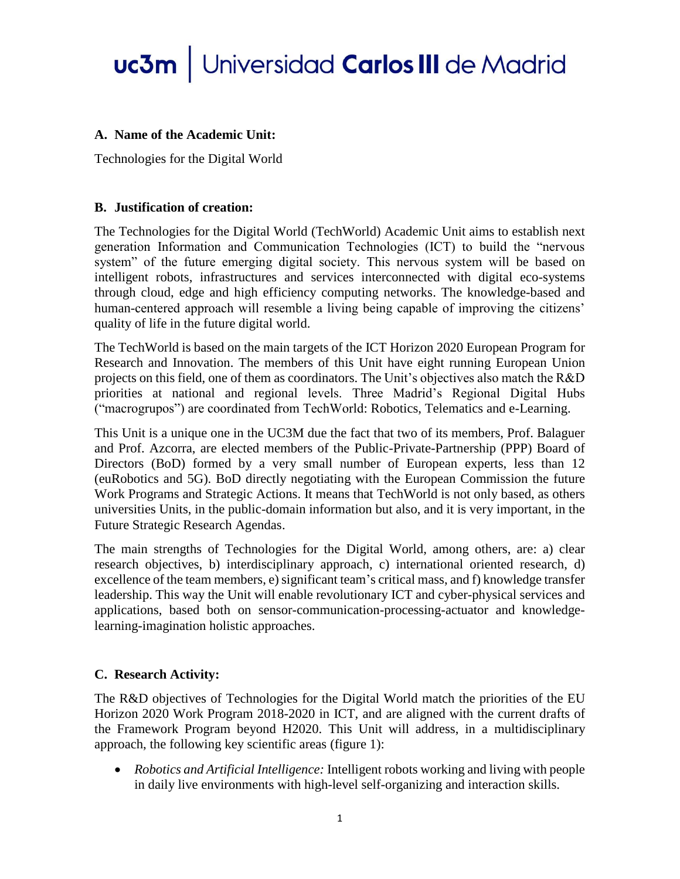### **A. Name of the Academic Unit:**

Technologies for the Digital World

### **B. Justification of creation:**

The Technologies for the Digital World (TechWorld) Academic Unit aims to establish next generation Information and Communication Technologies (ICT) to build the "nervous system" of the future emerging digital society. This nervous system will be based on intelligent robots, infrastructures and services interconnected with digital eco-systems through cloud, edge and high efficiency computing networks. The knowledge-based and human-centered approach will resemble a living being capable of improving the citizens' quality of life in the future digital world.

The TechWorld is based on the main targets of the ICT Horizon 2020 European Program for Research and Innovation. The members of this Unit have eight running European Union projects on this field, one of them as coordinators. The Unit's objectives also match the R&D priorities at national and regional levels. Three Madrid's Regional Digital Hubs ("macrogrupos") are coordinated from TechWorld: Robotics, Telematics and e-Learning.

This Unit is a unique one in the UC3M due the fact that two of its members, Prof. Balaguer and Prof. Azcorra, are elected members of the Public-Private-Partnership (PPP) Board of Directors (BoD) formed by a very small number of European experts, less than 12 (euRobotics and 5G). BoD directly negotiating with the European Commission the future Work Programs and Strategic Actions. It means that TechWorld is not only based, as others universities Units, in the public-domain information but also, and it is very important, in the Future Strategic Research Agendas.

The main strengths of Technologies for the Digital World, among others, are: a) clear research objectives, b) interdisciplinary approach, c) international oriented research, d) excellence of the team members, e) significant team's critical mass, and f) knowledge transfer leadership. This way the Unit will enable revolutionary ICT and cyber-physical services and applications, based both on sensor-communication-processing-actuator and knowledgelearning-imagination holistic approaches.

### **C. Research Activity:**

The R&D objectives of Technologies for the Digital World match the priorities of the EU Horizon 2020 Work Program 2018-2020 in ICT, and are aligned with the current drafts of the Framework Program beyond H2020. This Unit will address, in a multidisciplinary approach, the following key scientific areas (figure 1):

 *Robotics and Artificial Intelligence:* Intelligent robots working and living with people in daily live environments with high-level self-organizing and interaction skills.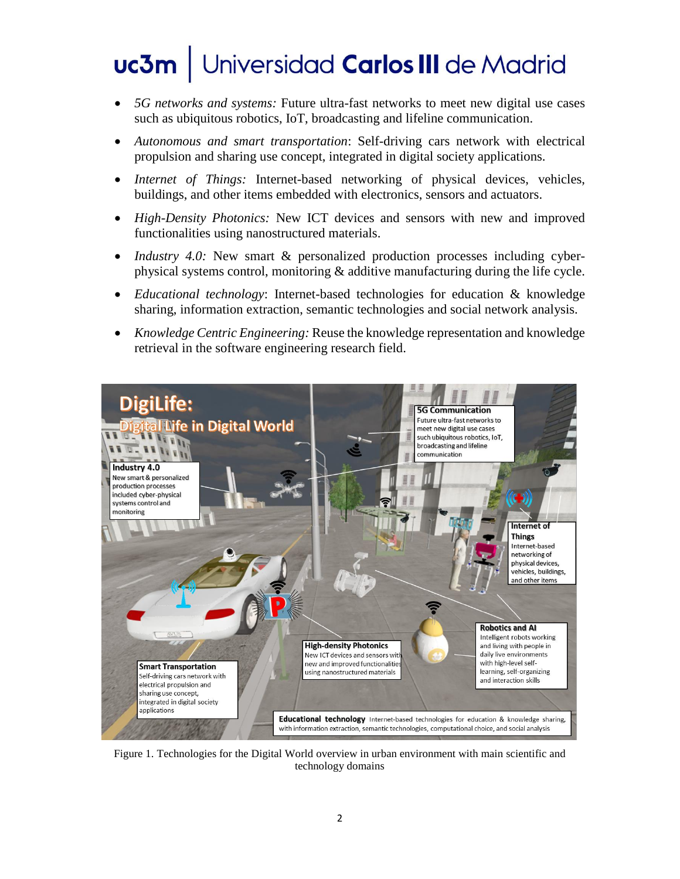- *5G networks and systems:* Future ultra-fast networks to meet new digital use cases such as ubiquitous robotics, IoT, broadcasting and lifeline communication.
- *Autonomous and smart transportation*: Self-driving cars network with electrical propulsion and sharing use concept, integrated in digital society applications.
- *Internet of Things:* Internet-based networking of physical devices, vehicles, buildings, and other items embedded with electronics, sensors and actuators.
- *High-Density Photonics:* New ICT devices and sensors with new and improved functionalities using nanostructured materials.
- *Industry 4.0:* New smart & personalized production processes including cyberphysical systems control, monitoring & additive manufacturing during the life cycle.
- *Educational technology*: Internet-based technologies for education & knowledge sharing, information extraction, semantic technologies and social network analysis.
- *Knowledge Centric Engineering:* Reuse the knowledge representation and knowledge retrieval in the software engineering research field.



Figure 1. Technologies for the Digital World overview in urban environment with main scientific and technology domains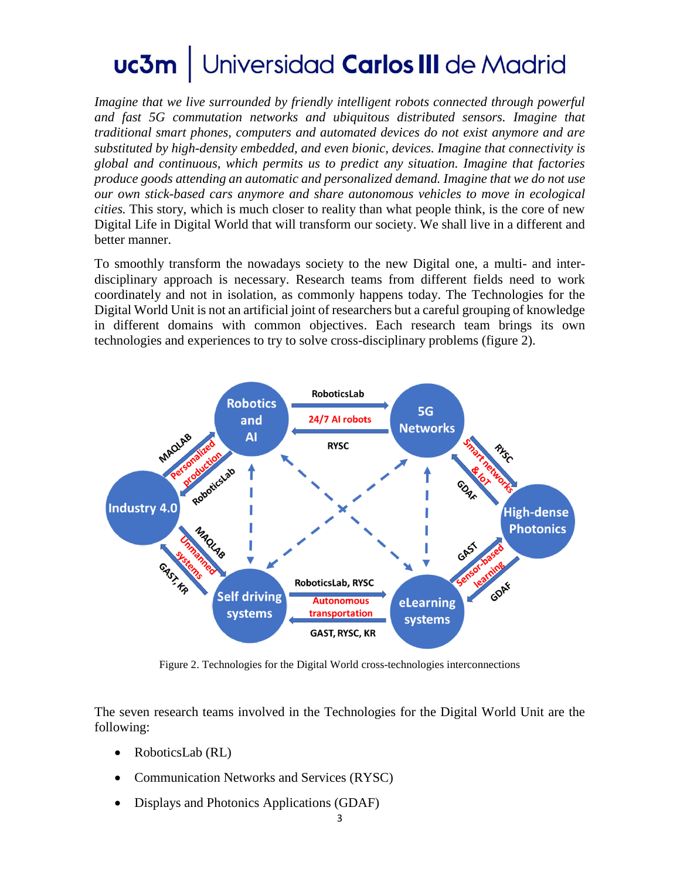*Imagine that we live surrounded by friendly intelligent robots connected through powerful and fast 5G commutation networks and ubiquitous distributed sensors. Imagine that traditional smart phones, computers and automated devices do not exist anymore and are substituted by high-density embedded, and even bionic, devices. Imagine that connectivity is global and continuous, which permits us to predict any situation. Imagine that factories produce goods attending an automatic and personalized demand. Imagine that we do not use our own stick-based cars anymore and share autonomous vehicles to move in ecological cities.* This story, which is much closer to reality than what people think, is the core of new Digital Life in Digital World that will transform our society. We shall live in a different and better manner.

To smoothly transform the nowadays society to the new Digital one, a multi- and interdisciplinary approach is necessary. Research teams from different fields need to work coordinately and not in isolation, as commonly happens today. The Technologies for the Digital World Unit is not an artificial joint of researchers but a careful grouping of knowledge in different domains with common objectives. Each research team brings its own technologies and experiences to try to solve cross-disciplinary problems (figure 2).



Figure 2. Technologies for the Digital World cross-technologies interconnections

The seven research teams involved in the Technologies for the Digital World Unit are the following:

- RoboticsLab (RL)
- Communication Networks and Services (RYSC)
- Displays and Photonics Applications (GDAF)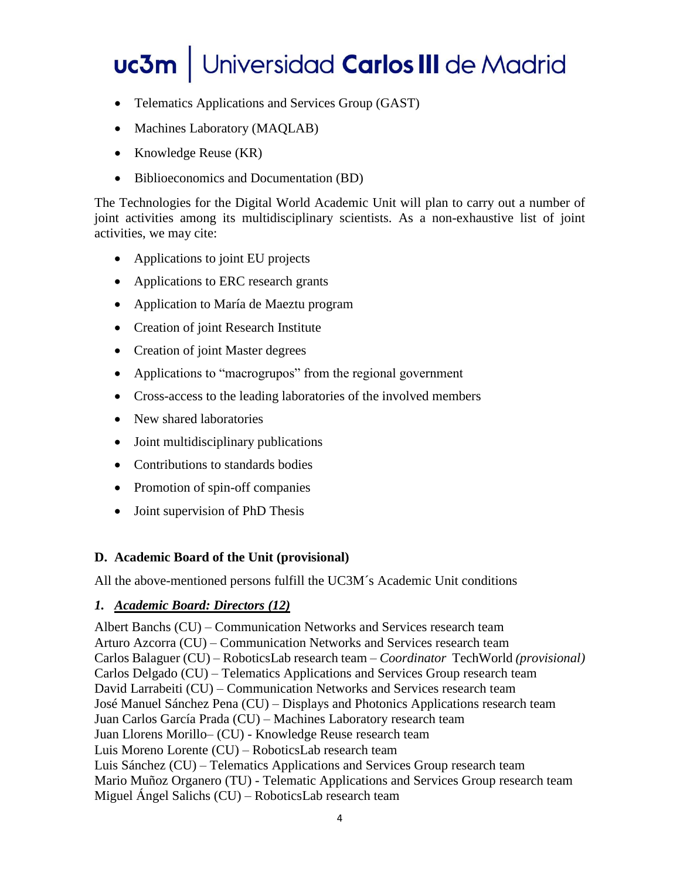- Telematics Applications and Services Group (GAST)
- Machines Laboratory (MAQLAB)
- Knowledge Reuse (KR)
- Biblioeconomics and Documentation (BD)

The Technologies for the Digital World Academic Unit will plan to carry out a number of joint activities among its multidisciplinary scientists. As a non-exhaustive list of joint activities, we may cite:

- Applications to joint EU projects
- Applications to ERC research grants
- Application to María de Maeztu program
- Creation of joint Research Institute
- Creation of joint Master degrees
- Applications to "macrogrupos" from the regional government
- Cross-access to the leading laboratories of the involved members
- New shared laboratories
- Joint multidisciplinary publications
- Contributions to standards bodies
- Promotion of spin-off companies
- Joint supervision of PhD Thesis

### **D. Academic Board of the Unit (provisional)**

All the above-mentioned persons fulfill the UC3M´s Academic Unit conditions

### *1. Academic Board: Directors (12)*

Albert Banchs (CU) – Communication Networks and Services research team Arturo Azcorra (CU) – Communication Networks and Services research team Carlos Balaguer (CU) – RoboticsLab research team – *Coordinator* TechWorld *(provisional)* Carlos Delgado (CU) – Telematics Applications and Services Group research team David Larrabeiti (CU) – Communication Networks and Services research team José Manuel Sánchez Pena (CU) – Displays and Photonics Applications research team Juan Carlos García Prada (CU) – Machines Laboratory research team Juan Llorens Morillo– (CU) - Knowledge Reuse research team Luis Moreno Lorente (CU) – RoboticsLab research team Luis Sánchez (CU) – Telematics Applications and Services Group research team Mario Muñoz Organero (TU) - Telematic Applications and Services Group research team Miguel Ángel Salichs (CU) – RoboticsLab research team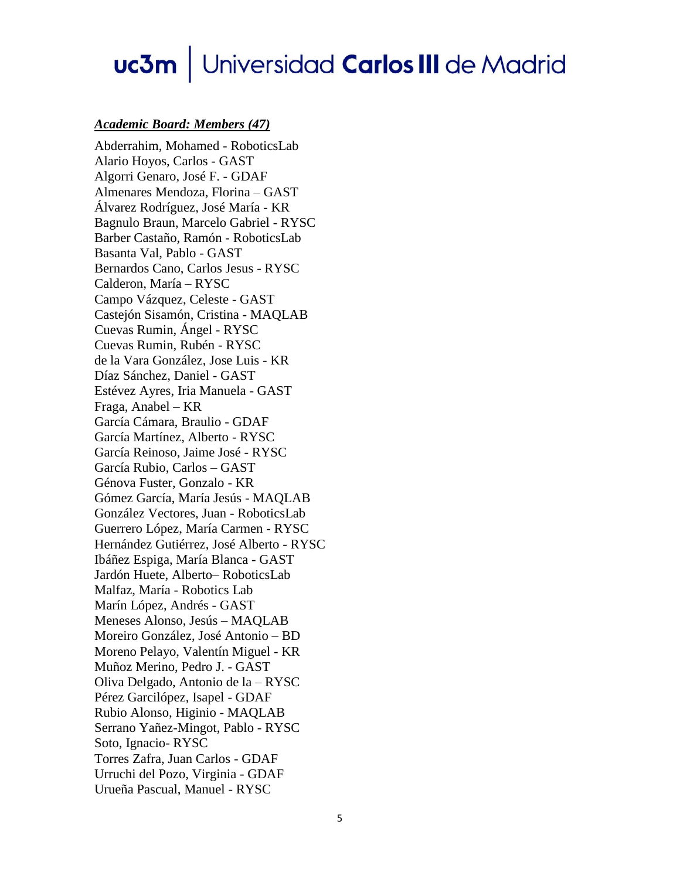#### *Academic Board: Members (47)*

Abderrahim, Mohamed - RoboticsLab Alario Hoyos, Carlos - GAST Algorri Genaro, José F. - GDAF Almenares Mendoza, Florina – GAST Álvarez Rodríguez, José María - KR Bagnulo Braun, Marcelo Gabriel - RYSC Barber Castaño, Ramón - RoboticsLab Basanta Val, Pablo - GAST Bernardos Cano, Carlos Jesus - RYSC Calderon, María – RYSC Campo Vázquez, Celeste - GAST Castejón Sisamón, Cristina - MAQLAB Cuevas Rumin, Ángel - RYSC Cuevas Rumin, Rubén - RYSC de la Vara González, Jose Luis - KR Díaz Sánchez, Daniel - GAST Estévez Ayres, Iria Manuela - GAST Fraga, Anabel – KR García Cámara, Braulio - GDAF García Martínez, Alberto - RYSC García Reinoso, Jaime José - RYSC García Rubio, Carlos – GAST Génova Fuster, Gonzalo - KR Gómez García, María Jesús - MAQLAB González Vectores, Juan - RoboticsLab Guerrero López, María Carmen - RYSC Hernández Gutiérrez, José Alberto - RYSC Ibáñez Espiga, María Blanca - GAST Jardón Huete, Alberto– RoboticsLab Malfaz, María - Robotics Lab Marín López, Andrés - GAST Meneses Alonso, Jesús – MAQLAB Moreiro González, José Antonio – BD Moreno Pelayo, Valentín Miguel - KR Muñoz Merino, Pedro J. - GAST Oliva Delgado, Antonio de la – RYSC Pérez Garcilópez, Isapel - GDAF Rubio Alonso, Higinio - MAQLAB Serrano Yañez-Mingot, Pablo - RYSC Soto, Ignacio- RYSC Torres Zafra, Juan Carlos - GDAF Urruchi del Pozo, Virginia - GDAF Urueña Pascual, Manuel - RYSC